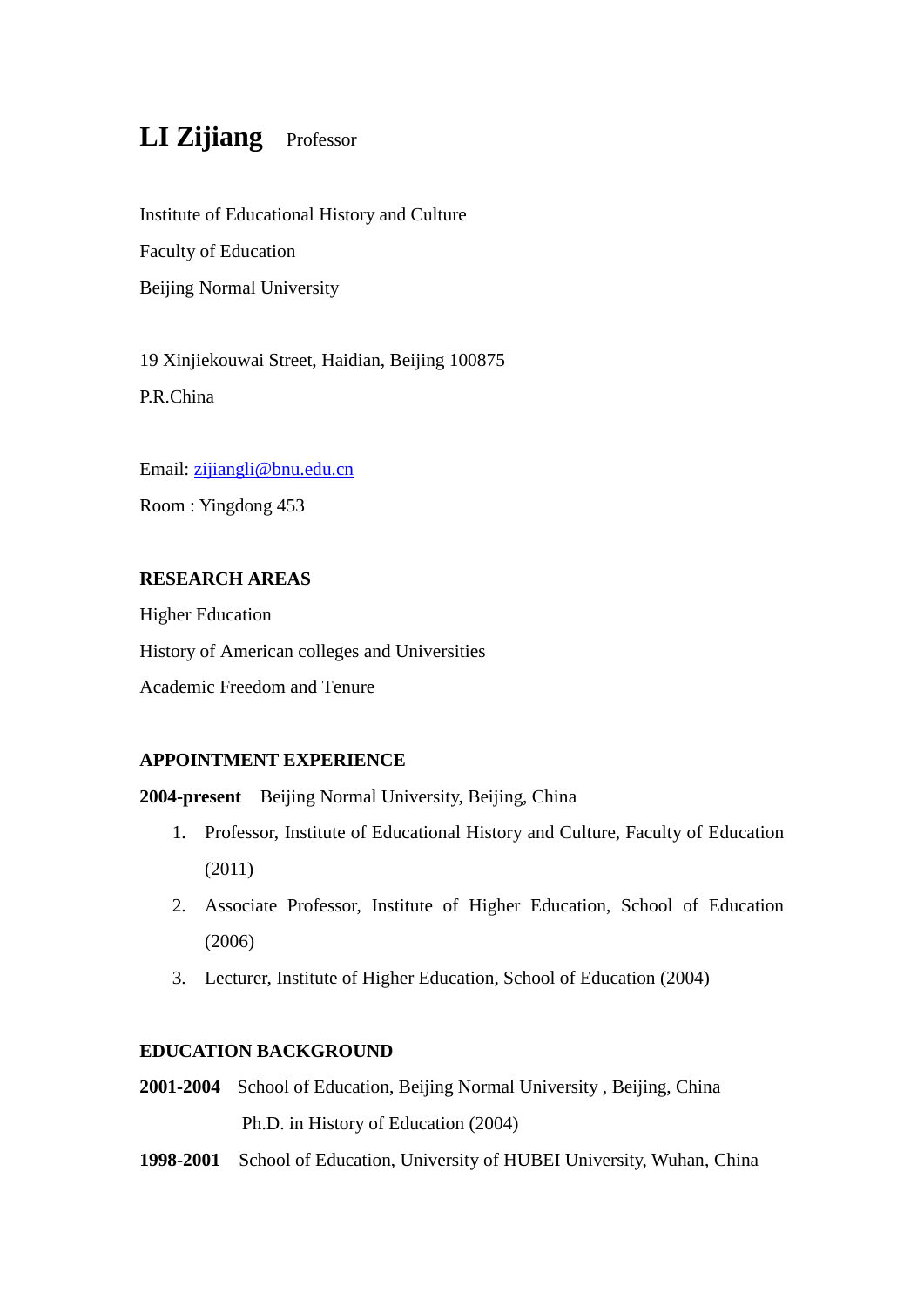# **LI Zijiang** Professor

Institute of Educational History and Culture Faculty of Education Beijing Normal University

19 Xinjiekouwai Street, Haidian, Beijing 100875 P.R.China

Email: [zijiangli@bnu.edu.cn](mailto:zijiangli@bnu.edu.cn) Room : Yingdong 453

## **RESEARCH AREAS**

Higher Education History of American colleges and Universities Academic Freedom and Tenure

## **APPOINTMENT EXPERIENCE**

**2004-present** Beijing Normal University, Beijing, China

- 1. Professor, Institute of Educational History and Culture, Faculty of Education (2011)
- 2. Associate Professor, Institute of Higher Education, School of Education (2006)
- 3. Lecturer, Institute of Higher Education, School of Education (2004)

## **EDUCATION BACKGROUND**

- **2001-2004** School of Education, Beijing Normal University , Beijing, China Ph.D. in History of Education (2004)
- **1998-2001** School of Education, University of HUBEI University, Wuhan, China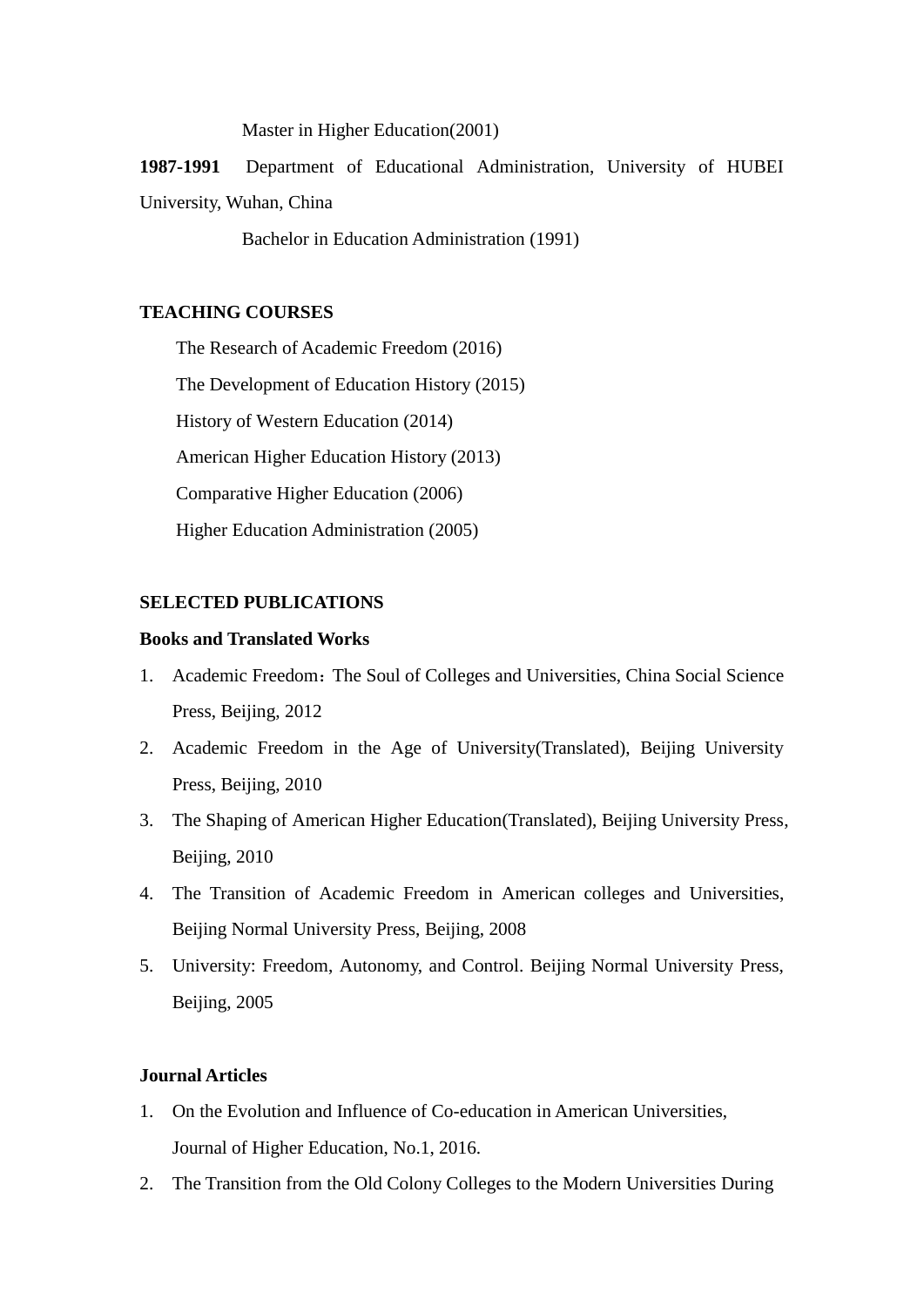Master in Higher Education(2001)

**1987-1991** Department of Educational Administration, University of HUBEI University, Wuhan, China

Bachelor in Education Administration (1991)

#### **TEACHING COURSES**

The Research of Academic Freedom (2016) The Development of Education History (2015) History of Western Education (2014) American Higher Education History (2013) Comparative Higher Education (2006) Higher Education Administration (2005)

## **SELECTED PUBLICATIONS**

## **Books and Translated Works**

- 1. Academic Freedom: The Soul of Colleges and Universities, China Social Science Press, Beijing, 2012
- 2. Academic Freedom in the Age of University(Translated), Beijing University Press, Beijing, 2010
- 3. The Shaping of American Higher Education(Translated), Beijing University Press, Beijing, 2010
- 4. The Transition of Academic Freedom in American colleges and Universities, Beijing Normal University Press, Beijing, 2008
- 5. University: Freedom, Autonomy, and Control. Beijing Normal University Press, Beijing, 2005

#### **Journal Articles**

- 1. On the Evolution and Influence of Co-education in American Universities, Journal of Higher Education, No.1, 2016.
- 2. The Transition from the Old Colony Colleges to the Modern Universities During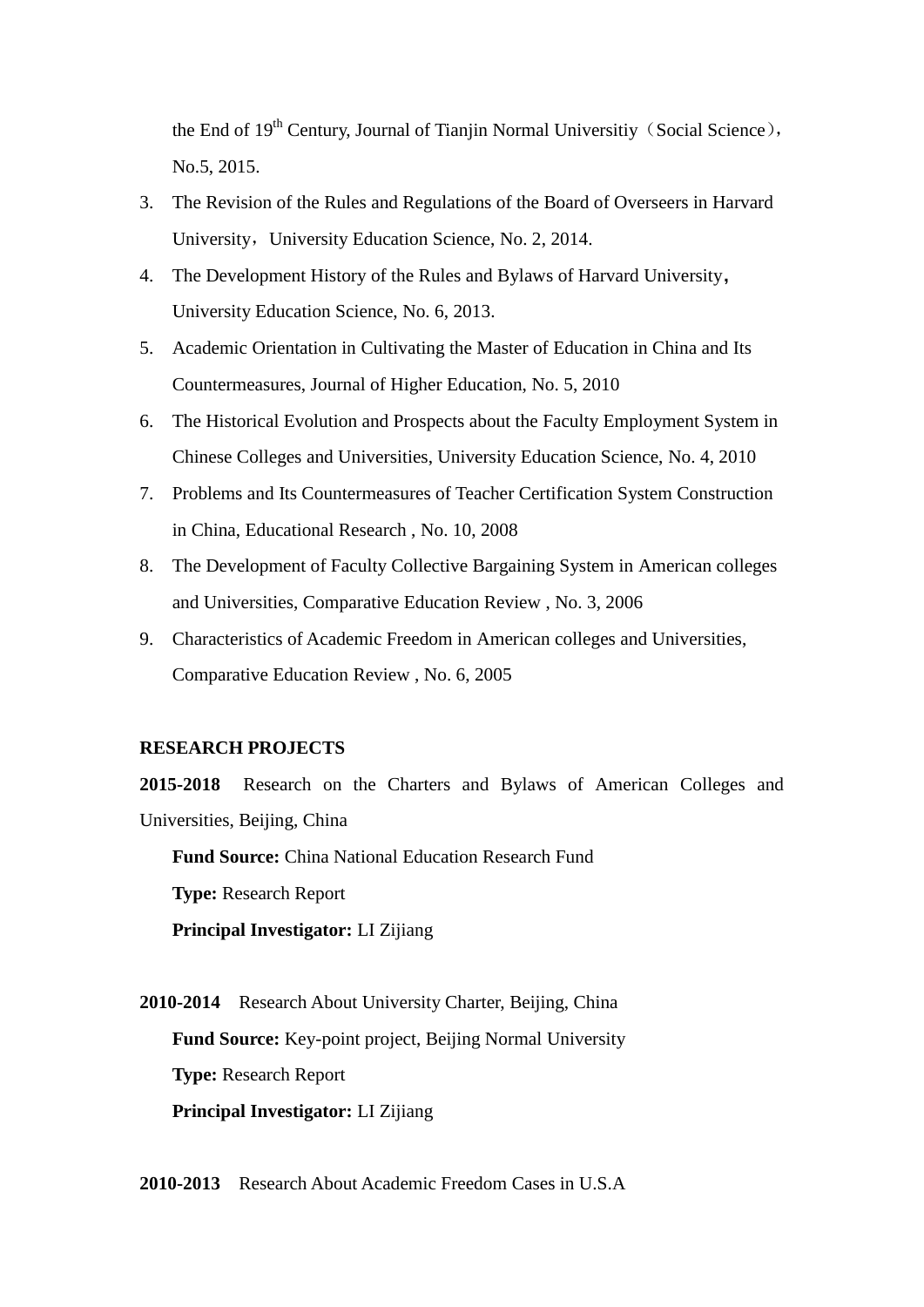the End of  $19<sup>th</sup>$  Century, Journal of Tianiin Normal Universitiy (Social Science), No.5, 2015.

- 3. The Revision of the Rules and Regulations of the Board of Overseers in Harvard University, University Education Science, No. 2, 2014.
- 4. The Development History of the Rules and Bylaws of Harvard University, University Education Science, No. 6, 2013.
- 5. Academic Orientation in Cultivating the Master of Education in China and Its Countermeasures, Journal of Higher Education, No. 5, 2010
- 6. The Historical Evolution and Prospects about the Faculty Employment System in Chinese Colleges and Universities, University Education Science, No. 4, 2010
- 7. Problems and Its Countermeasures of Teacher Certification System Construction in China, Educational Research , No. 10, 2008
- 8. The Development of Faculty Collective Bargaining System in American colleges and Universities, Comparative Education Review , No. 3, 2006
- 9. Characteristics of Academic Freedom in American colleges and Universities, Comparative Education Review , No. 6, 2005

#### **RESEARCH PROJECTS**

**2015-2018** Research on the Charters and Bylaws of American Colleges and Universities, Beijing, China

**Fund Source:** China National Education Research Fund **Type:** Research Report **Principal Investigator:** LI Zijiang

**2010-2014** Research About University Charter, Beijing, China **Fund Source:** Key-point project, Beijing Normal University **Type:** Research Report **Principal Investigator:** LI Zijiang

**2010-2013** Research About Academic Freedom Cases in U.S.A